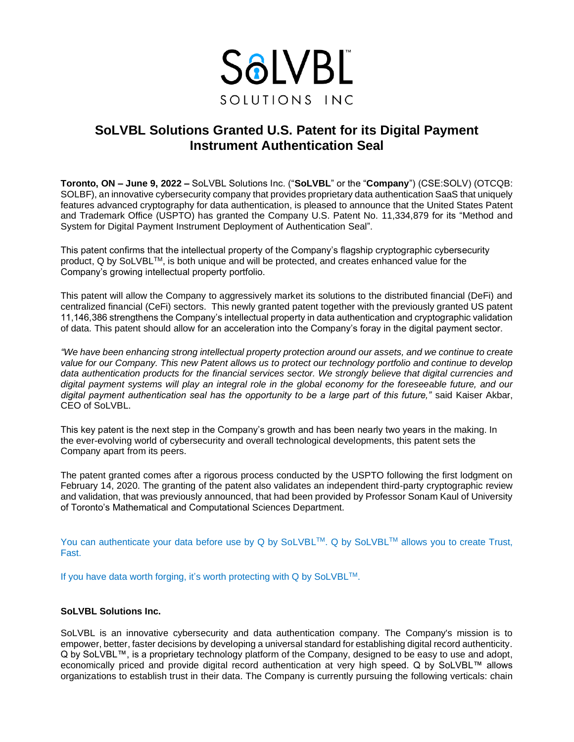

## **SoLVBL Solutions Granted U.S. Patent for its Digital Payment Instrument Authentication Seal**

**Toronto, ON – June 9, 2022 –** SoLVBL Solutions Inc. ("**SoLVBL**" or the "**Company**") (CSE:SOLV) (OTCQB: SOLBF), an innovative cybersecurity company that provides proprietary data authentication SaaS that uniquely features advanced cryptography for data authentication, is pleased to announce that the United States Patent and Trademark Office (USPTO) has granted the Company U.S. Patent No. 11,334,879 for its "Method and System for Digital Payment Instrument Deployment of Authentication Seal".

This patent confirms that the intellectual property of the Company's flagship cryptographic cybersecurity product, Q by SoLVBL™, is both unique and will be protected, and creates enhanced value for the Company's growing intellectual property portfolio.

This patent will allow the Company to aggressively market its solutions to the distributed financial (DeFi) and centralized financial (CeFi) sectors. This newly granted patent together with the previously granted US patent 11,146,386 strengthens the Company's intellectual property in data authentication and cryptographic validation of data. This patent should allow for an acceleration into the Company's foray in the digital payment sector.

*"We have been enhancing strong intellectual property protection around our assets, and we continue to create value for our Company. This new Patent allows us to protect our technology portfolio and continue to develop data authentication products for the financial services sector. We strongly believe that digital currencies and digital payment systems will play an integral role in the global economy for the foreseeable future, and our digital payment authentication seal has the opportunity to be a large part of this future,"* said Kaiser Akbar, CEO of SoLVBL.

This key patent is the next step in the Company's growth and has been nearly two years in the making. In the ever-evolving world of cybersecurity and overall technological developments, this patent sets the Company apart from its peers.

The patent granted comes after a rigorous process conducted by the USPTO following the first lodgment on February 14, 2020. The granting of the patent also validates an independent third-party cryptographic review and validation, that was previously announced, that had been provided by Professor Sonam Kaul of University of Toronto's Mathematical and Computational Sciences Department.

You can authenticate your data before use by Q by SoLVBL™. Q by SoLVBL™ allows you to create Trust, Fast.

If you have data worth forging, it's worth protecting with Q by SoLVBL™.

## **SoLVBL Solutions Inc.**

SoLVBL is an innovative cybersecurity and data authentication company. The Company's mission is to empower, better, faster decisions by developing a universal standard for establishing digital record authenticity. Q by SoLVBL™, is a proprietary technology platform of the Company, designed to be easy to use and adopt, economically priced and provide digital record authentication at very high speed. Q by SoLVBL™ allows organizations to establish trust in their data. The Company is currently pursuing the following verticals: chain